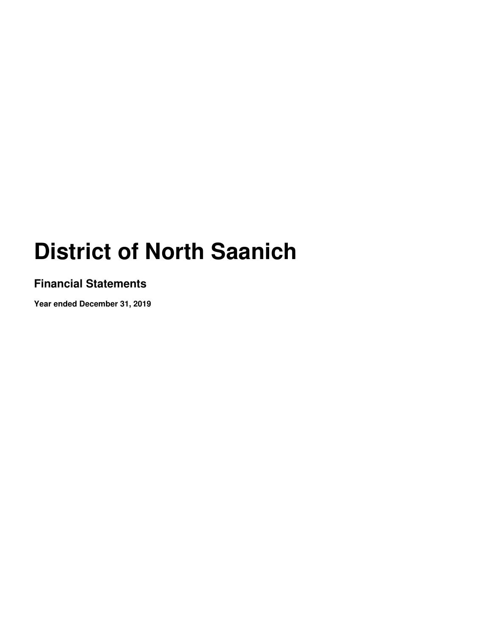### **Financial Statements**

**Year ended December 31, 2019**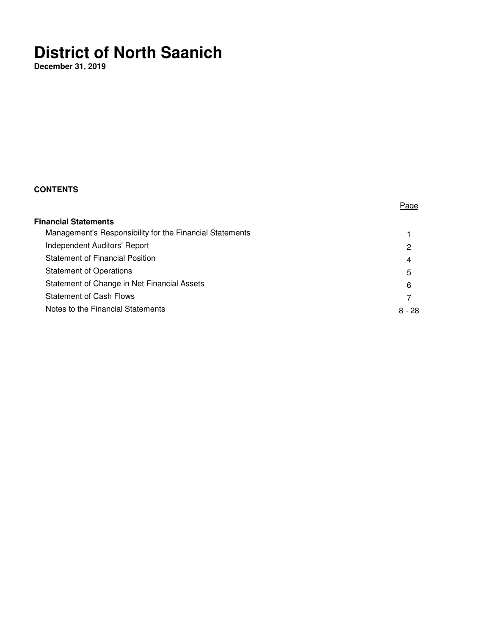**December 31, 2019** 

### **CONTENTS**

|                                                          | Page     |
|----------------------------------------------------------|----------|
| <b>Financial Statements</b>                              |          |
| Management's Responsibility for the Financial Statements |          |
| Independent Auditors' Report                             | 2        |
| <b>Statement of Financial Position</b>                   | 4        |
| <b>Statement of Operations</b>                           | 5        |
| Statement of Change in Net Financial Assets              | 6        |
| <b>Statement of Cash Flows</b>                           |          |
| Notes to the Financial Statements                        | $8 - 28$ |
|                                                          |          |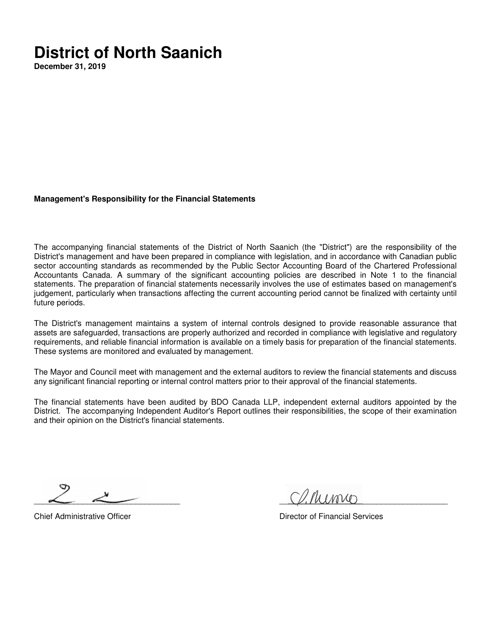**December 31, 2019** 

#### **Management's Responsibility for the Financial Statements**

The accompanying financial statements of the District of North Saanich (the "District") are the responsibility of the District's management and have been prepared in compliance with legislation, and in accordance with Canadian public sector accounting standards as recommended by the Public Sector Accounting Board of the Chartered Professional Accountants Canada. A summary of the significant accounting policies are described in Note 1 to the financial statements. The preparation of financial statements necessarily involves the use of estimates based on management's judgement, particularly when transactions affecting the current accounting period cannot be finalized with certainty until future periods.

The District's management maintains a system of internal controls designed to provide reasonable assurance that assets are safeguarded, transactions are properly authorized and recorded in compliance with legislative and regulatory requirements, and reliable financial information is available on a timely basis for preparation of the financial statements. These systems are monitored and evaluated by management.

The Mayor and Council meet with management and the external auditors to review the financial statements and discuss any significant financial reporting or internal control matters prior to their approval of the financial statements.

The financial statements have been audited by BDO Canada LLP, independent external auditors appointed by the District. The accompanying Independent Auditor's Report outlines their responsibilities, the scope of their examination and their opinion on the District's financial statements.

\_\_\_\_\_\_\_\_\_\_\_\_\_\_\_\_\_\_\_\_\_\_\_\_\_\_\_\_\_\_\_\_\_ \_\_\_\_\_\_\_\_\_\_\_\_\_\_\_\_\_\_\_\_\_\_\_\_\_\_\_\_\_\_\_\_\_\_\_\_\_\_

Chief Administrative Officer **Director of Financial Services** Director of Financial Services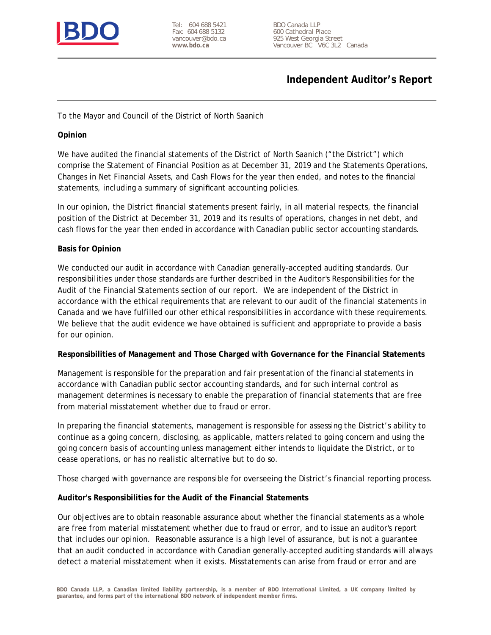

Tel: 604 688 5421 Fax: 604 688 5132 vancouver@bdo.ca **www.bdo.ca**

BDO Canada LLP 600 Cathedral Place 925 West Georgia Street Vancouver BC V6C 3L2 Canada

### **Independent Auditor's Report**

To the Mayor and Council of the District of North Saanich

**Opinion**

We have audited the financial statements of the District of North Saanich ("the District") which comprise the Statement of Financial Position as at December 31, 2019 and the Statements Operations, Changes in Net Financial Assets, and Cash Flows for the year then ended, and notes to the financial statements, including a summary of significant accounting policies.

In our opinion, the District financial statements present fairly, in all material respects, the financial position of the District at December 31, 2019 and its results of operations, changes in net debt, and cash flows for the year then ended in accordance with Canadian public sector accounting standards.

### **Basis for Opinion**

We conducted our audit in accordance with Canadian generally-accepted auditing standards. Our responsibilities under those standards are further described in the Auditor's Responsibilities for the Audit of the Financial Statements section of our report. We are independent of the District in accordance with the ethical requirements that are relevant to our audit of the financial statements in Canada and we have fulfilled our other ethical responsibilities in accordance with these requirements. We believe that the audit evidence we have obtained is sufficient and appropriate to provide a basis for our opinion.

**Responsibilities of Management and Those Charged with Governance for the Financial Statements**

Management is responsible for the preparation and fair presentation of the financial statements in accordance with Canadian public sector accounting standards, and for such internal control as management determines is necessary to enable the preparation of financial statements that are free from material misstatement whether due to fraud or error.

In preparing the financial statements, management is responsible for assessing the District's ability to continue as a going concern, disclosing, as applicable, matters related to going concern and using the going concern basis of accounting unless management either intends to liquidate the District, or to cease operations, or has no realistic alternative but to do so.

Those charged with governance are responsible for overseeing the District's financial reporting process.

**Auditor's Responsibilities for the Audit of the Financial Statements**

Our objectives are to obtain reasonable assurance about whether the financial statements as a whole are free from material misstatement whether due to fraud or error, and to issue an auditor's report that includes our opinion. Reasonable assurance is a high level of assurance, but is not a guarantee that an audit conducted in accordance with Canadian generally-accepted auditing standards will always detect a material misstatement when it exists. Misstatements can arise from fraud or error and are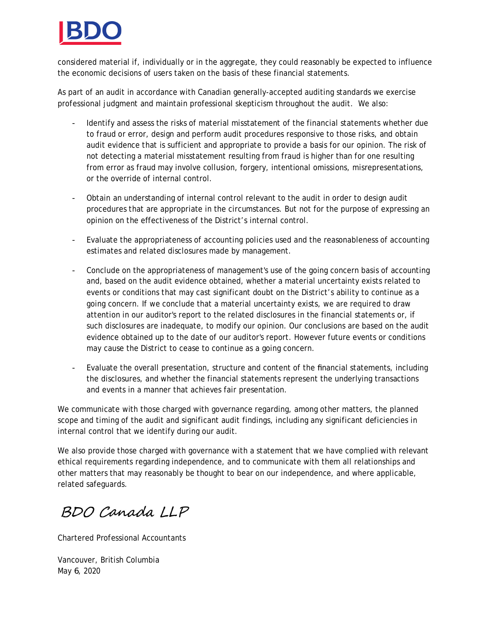

considered material if, individually or in the aggregate, they could reasonably be expected to influence the economic decisions of users taken on the basis of these financial statements.

As part of an audit in accordance with Canadian generally-accepted auditing standards we exercise professional judgment and maintain professional skepticism throughout the audit. We also:

- Identify and assess the risks of material misstatement of the financial statements whether due to fraud or error, design and perform audit procedures responsive to those risks, and obtain audit evidence that is sufficient and appropriate to provide a basis for our opinion. The risk of not detecting a material misstatement resulting from fraud is higher than for one resulting from error as fraud may involve collusion, forgery, intentional omissions, misrepresentations, or the override of internal control.
- Obtain an understanding of internal control relevant to the audit in order to design audit procedures that are appropriate in the circumstances. But not for the purpose of expressing an opinion on the effectiveness of the District's internal control.
- Evaluate the appropriateness of accounting policies used and the reasonableness of accounting estimates and related disclosures made by management.
- Conclude on the appropriateness of management's use of the going concern basis of accounting and, based on the audit evidence obtained, whether a material uncertainty exists related to events or conditions that may cast significant doubt on the District's ability to continue as a going concern. If we conclude that a material uncertainty exists, we are required to draw attention in our auditor's report to the related disclosures in the financial statements or, if such disclosures are inadequate, to modify our opinion. Our conclusions are based on the audit evidence obtained up to the date of our auditor's report. However future events or conditions may cause the District to cease to continue as a going concern.
- Evaluate the overall presentation, structure and content of the financial statements, including the disclosures, and whether the financial statements represent the underlying transactions and events in a manner that achieves fair presentation.

We communicate with those charged with governance regarding, among other matters, the planned scope and timing of the audit and significant audit findings, including any significant deficiencies in internal control that we identify during our audit.

We also provide those charged with governance with a statement that we have complied with relevant ethical requirements regarding independence, and to communicate with them all relationships and other matters that may reasonably be thought to bear on our independence, and where applicable, related safeguards.

BDO Canada LLP

Chartered Professional Accountants

Vancouver, British Columbia May 6, 2020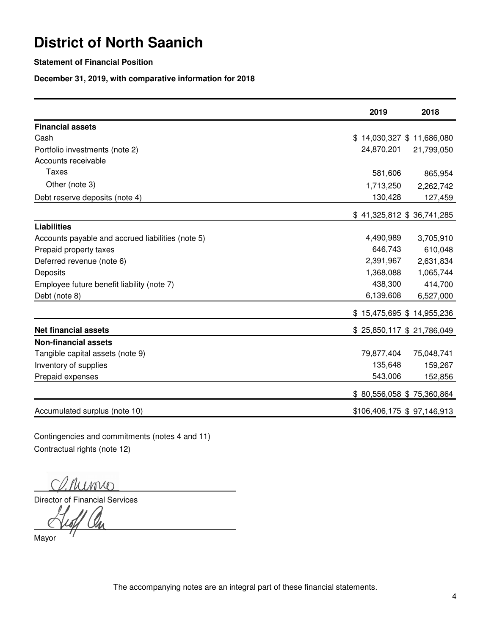### **Statement of Financial Position**

**December 31, 2019, with comparative information for 2018**

|                                                   | 2019                        | 2018                      |
|---------------------------------------------------|-----------------------------|---------------------------|
| <b>Financial assets</b>                           |                             |                           |
| Cash                                              | \$14,030,327 \$11,686,080   |                           |
| Portfolio investments (note 2)                    | 24,870,201                  | 21,799,050                |
| Accounts receivable                               |                             |                           |
| Taxes                                             | 581,606                     | 865,954                   |
| Other (note 3)                                    | 1,713,250                   | 2,262,742                 |
| Debt reserve deposits (note 4)                    | 130,428                     | 127,459                   |
|                                                   | $$41,325,812$ \$ 36,741,285 |                           |
| <b>Liabilities</b>                                |                             |                           |
| Accounts payable and accrued liabilities (note 5) | 4,490,989                   | 3,705,910                 |
| Prepaid property taxes                            | 646,743                     | 610,048                   |
| Deferred revenue (note 6)                         | 2,391,967                   | 2,631,834                 |
| Deposits                                          | 1,368,088                   | 1,065,744                 |
| Employee future benefit liability (note 7)        | 438,300                     | 414,700                   |
| Debt (note 8)                                     | 6,139,608                   | 6,527,000                 |
|                                                   | \$15,475,695 \$14,955,236   |                           |
| <b>Net financial assets</b>                       |                             | \$25,850,117 \$21,786,049 |
| <b>Non-financial assets</b>                       |                             |                           |
| Tangible capital assets (note 9)                  | 79,877,404                  | 75,048,741                |
| Inventory of supplies                             | 135,648                     | 159,267                   |
| Prepaid expenses                                  | 543,006                     | 152,856                   |
|                                                   | \$80,556,058 \$75,360,864   |                           |
| Accumulated surplus (note 10)                     | \$106,406,175 \$ 97,146,913 |                           |

Contingencies and commitments (notes 4 and 11) Contractual rights (note 12)

Cl. Rumio

Director of Financial Services

Loff On

Mayor

The accompanying notes are an integral part of these financial statements.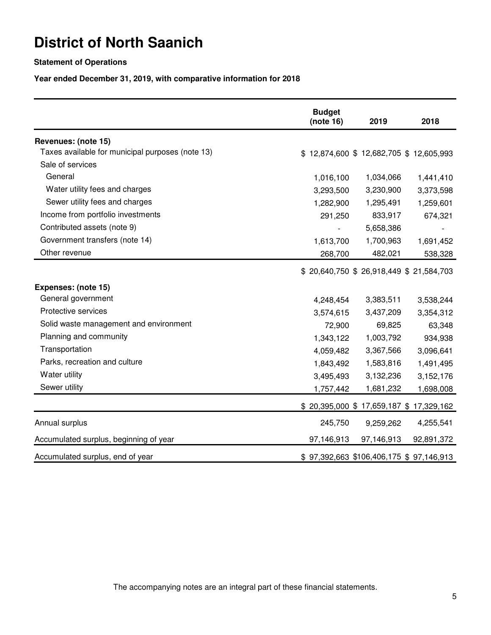### **Statement of Operations**

**Year ended December 31, 2019, with comparative information for 2018**

|                                                  | <b>Budget</b><br>(note 16) | 2019                                    | 2018                                   |
|--------------------------------------------------|----------------------------|-----------------------------------------|----------------------------------------|
| Revenues: (note 15)                              |                            |                                         |                                        |
| Taxes available for municipal purposes (note 13) |                            | \$12,874,600 \$12,682,705 \$12,605,993  |                                        |
| Sale of services                                 |                            |                                         |                                        |
| General                                          | 1,016,100                  | 1,034,066                               | 1,441,410                              |
| Water utility fees and charges                   | 3,293,500                  | 3,230,900                               | 3,373,598                              |
| Sewer utility fees and charges                   | 1,282,900                  | 1,295,491                               | 1,259,601                              |
| Income from portfolio investments                | 291,250                    | 833,917                                 | 674,321                                |
| Contributed assets (note 9)                      |                            | 5,658,386                               |                                        |
| Government transfers (note 14)                   | 1,613,700                  | 1,700,963                               | 1,691,452                              |
| Other revenue                                    | 268,700                    | 482,021                                 | 538,328                                |
|                                                  |                            | \$20,640,750 \$26,918,449 \$21,584,703  |                                        |
| Expenses: (note 15)                              |                            |                                         |                                        |
| General government                               | 4,248,454                  | 3,383,511                               | 3,538,244                              |
| Protective services                              | 3,574,615                  | 3,437,209                               | 3,354,312                              |
| Solid waste management and environment           | 72,900                     | 69,825                                  | 63,348                                 |
| Planning and community                           | 1,343,122                  | 1,003,792                               | 934,938                                |
| Transportation                                   | 4,059,482                  | 3,367,566                               | 3,096,641                              |
| Parks, recreation and culture                    | 1,843,492                  | 1,583,816                               | 1,491,495                              |
| Water utility                                    | 3,495,493                  | 3,132,236                               | 3,152,176                              |
| Sewer utility                                    | 1,757,442                  | 1,681,232                               | 1,698,008                              |
|                                                  |                            |                                         | \$20,395,000 \$17,659,187 \$17,329,162 |
| Annual surplus                                   | 245,750                    | 9,259,262                               | 4,255,541                              |
| Accumulated surplus, beginning of year           | 97,146,913                 | 97,146,913                              | 92,891,372                             |
| Accumulated surplus, end of year                 |                            | \$97,392,663 \$106,406,175 \$97,146,913 |                                        |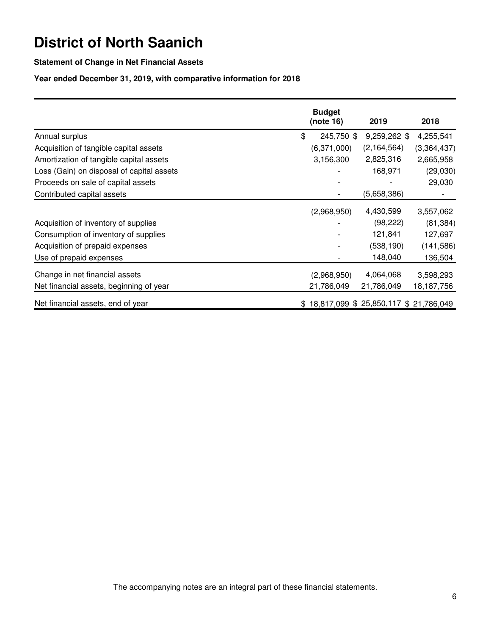### **Statement of Change in Net Financial Assets**

### **Year ended December 31, 2019, with comparative information for 2018**

|                                           | <b>Budget</b>                          |               |             |
|-------------------------------------------|----------------------------------------|---------------|-------------|
|                                           | (note 16)                              | 2019          | 2018        |
| Annual surplus                            | \$<br>245,750 \$                       | 9,259,262 \$  | 4,255,541   |
| Acquisition of tangible capital assets    | (6,371,000)                            | (2, 164, 564) | (3,364,437) |
| Amortization of tangible capital assets   | 3,156,300                              | 2,825,316     | 2,665,958   |
| Loss (Gain) on disposal of capital assets |                                        | 168,971       | (29,030)    |
| Proceeds on sale of capital assets        |                                        |               | 29,030      |
| Contributed capital assets                |                                        | (5,658,386)   |             |
|                                           | (2,968,950)                            | 4,430,599     | 3,557,062   |
| Acquisition of inventory of supplies      |                                        | (98, 222)     | (81, 384)   |
| Consumption of inventory of supplies      |                                        | 121,841       | 127,697     |
| Acquisition of prepaid expenses           |                                        | (538, 190)    | (141, 586)  |
| Use of prepaid expenses                   |                                        | 148,040       | 136,504     |
| Change in net financial assets            | (2,968,950)                            | 4,064,068     | 3,598,293   |
| Net financial assets, beginning of year   | 21,786,049                             | 21,786,049    | 18,187,756  |
| Net financial assets, end of year         | \$18,817,099 \$25,850,117 \$21,786,049 |               |             |

The accompanying notes are an integral part of these financial statements.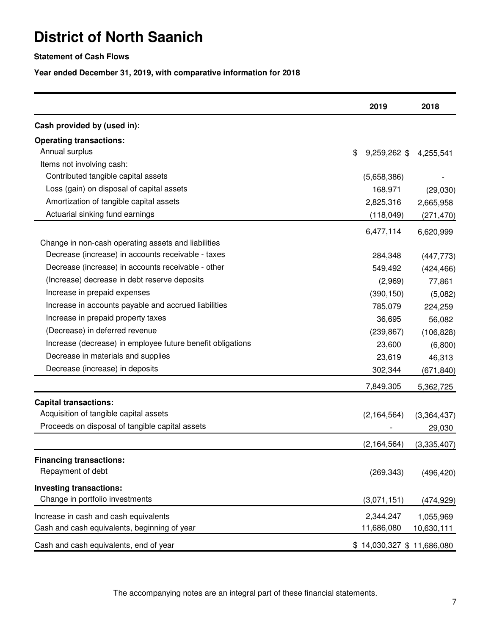### **Statement of Cash Flows**

**Year ended December 31, 2019, with comparative information for 2018**

|                                                            | 2019                      | 2018        |
|------------------------------------------------------------|---------------------------|-------------|
| Cash provided by (used in):                                |                           |             |
| <b>Operating transactions:</b>                             |                           |             |
| Annual surplus                                             | \$<br>$9,259,262$ \$      | 4,255,541   |
| Items not involving cash:                                  |                           |             |
| Contributed tangible capital assets                        | (5,658,386)               |             |
| Loss (gain) on disposal of capital assets                  | 168,971                   | (29,030)    |
| Amortization of tangible capital assets                    | 2,825,316                 | 2,665,958   |
| Actuarial sinking fund earnings                            | (118, 049)                | (271, 470)  |
|                                                            | 6,477,114                 | 6,620,999   |
| Change in non-cash operating assets and liabilities        |                           |             |
| Decrease (increase) in accounts receivable - taxes         | 284,348                   | (447, 773)  |
| Decrease (increase) in accounts receivable - other         | 549,492                   | (424, 466)  |
| (Increase) decrease in debt reserve deposits               | (2,969)                   | 77,861      |
| Increase in prepaid expenses                               | (390, 150)                | (5,082)     |
| Increase in accounts payable and accrued liabilities       | 785,079                   | 224,259     |
| Increase in prepaid property taxes                         | 36,695                    | 56,082      |
| (Decrease) in deferred revenue                             | (239, 867)                | (106, 828)  |
| Increase (decrease) in employee future benefit obligations | 23,600                    | (6,800)     |
| Decrease in materials and supplies                         | 23,619                    | 46,313      |
| Decrease (increase) in deposits                            | 302,344                   | (671, 840)  |
|                                                            | 7,849,305                 | 5,362,725   |
| <b>Capital transactions:</b>                               |                           |             |
| Acquisition of tangible capital assets                     | (2, 164, 564)             | (3,364,437) |
| Proceeds on disposal of tangible capital assets            |                           | 29,030      |
|                                                            | (2, 164, 564)             | (3,335,407) |
| <b>Financing transactions:</b>                             |                           |             |
| Repayment of debt                                          | (269, 343)                | (496, 420)  |
| <b>Investing transactions:</b>                             |                           |             |
| Change in portfolio investments                            | (3,071,151)               | (474,929)   |
| Increase in cash and cash equivalents                      | 2,344,247                 | 1,055,969   |
| Cash and cash equivalents, beginning of year               | 11,686,080                | 10,630,111  |
| Cash and cash equivalents, end of year                     | \$14,030,327 \$11,686,080 |             |

The accompanying notes are an integral part of these financial statements.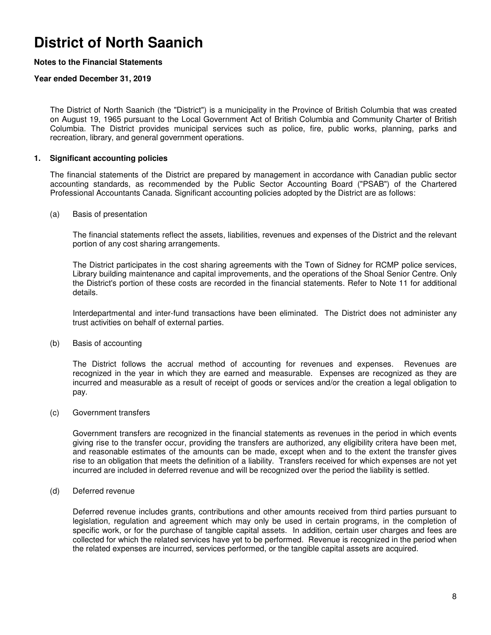### **Notes to the Financial Statements**

#### **Year ended December 31, 2019**

The District of North Saanich (the "District") is a municipality in the Province of British Columbia that was created on August 19, 1965 pursuant to the Local Government Act of British Columbia and Community Charter of British Columbia. The District provides municipal services such as police, fire, public works, planning, parks and recreation, library, and general government operations.

#### **1. Significant accounting policies**

The financial statements of the District are prepared by management in accordance with Canadian public sector accounting standards, as recommended by the Public Sector Accounting Board ("PSAB") of the Chartered Professional Accountants Canada. Significant accounting policies adopted by the District are as follows:

#### (a) Basis of presentation

The financial statements reflect the assets, liabilities, revenues and expenses of the District and the relevant portion of any cost sharing arrangements.

The District participates in the cost sharing agreements with the Town of Sidney for RCMP police services, Library building maintenance and capital improvements, and the operations of the Shoal Senior Centre. Only the District's portion of these costs are recorded in the financial statements. Refer to Note 11 for additional details.

Interdepartmental and inter-fund transactions have been eliminated. The District does not administer any trust activities on behalf of external parties.

#### (b) Basis of accounting

The District follows the accrual method of accounting for revenues and expenses. Revenues are recognized in the year in which they are earned and measurable. Expenses are recognized as they are incurred and measurable as a result of receipt of goods or services and/or the creation a legal obligation to pay.

#### (c) Government transfers

Government transfers are recognized in the financial statements as revenues in the period in which events giving rise to the transfer occur, providing the transfers are authorized, any eligibility critera have been met, and reasonable estimates of the amounts can be made, except when and to the extent the transfer gives rise to an obligation that meets the definition of a liability. Transfers received for which expenses are not yet incurred are included in deferred revenue and will be recognized over the period the liability is settled.

#### (d) Deferred revenue

Deferred revenue includes grants, contributions and other amounts received from third parties pursuant to legislation, regulation and agreement which may only be used in certain programs, in the completion of specific work, or for the purchase of tangible capital assets. In addition, certain user charges and fees are collected for which the related services have yet to be performed. Revenue is recognized in the period when the related expenses are incurred, services performed, or the tangible capital assets are acquired.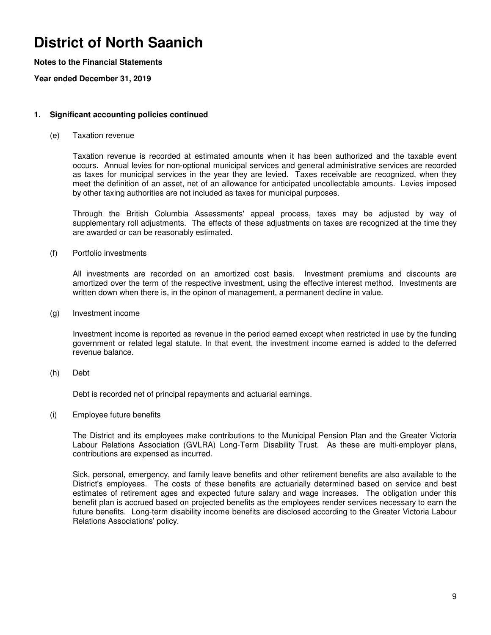### **Notes to the Financial Statements**

**Year ended December 31, 2019**

#### **1. Significant accounting policies continued**

(e) Taxation revenue

Taxation revenue is recorded at estimated amounts when it has been authorized and the taxable event occurs. Annual levies for non-optional municipal services and general administrative services are recorded as taxes for municipal services in the year they are levied. Taxes receivable are recognized, when they meet the definition of an asset, net of an allowance for anticipated uncollectable amounts. Levies imposed by other taxing authorities are not included as taxes for municipal purposes.

Through the British Columbia Assessments' appeal process, taxes may be adjusted by way of supplementary roll adjustments. The effects of these adjustments on taxes are recognized at the time they are awarded or can be reasonably estimated.

(f) Portfolio investments

All investments are recorded on an amortized cost basis. Investment premiums and discounts are amortized over the term of the respective investment, using the effective interest method. Investments are written down when there is, in the opinon of management, a permanent decline in value.

(g) Investment income

Investment income is reported as revenue in the period earned except when restricted in use by the funding government or related legal statute. In that event, the investment income earned is added to the deferred revenue balance.

(h) Debt

Debt is recorded net of principal repayments and actuarial earnings.

(i) Employee future benefits

The District and its employees make contributions to the Municipal Pension Plan and the Greater Victoria Labour Relations Association (GVLRA) Long-Term Disability Trust. As these are multi-employer plans, contributions are expensed as incurred.

Sick, personal, emergency, and family leave benefits and other retirement benefits are also available to the District's employees. The costs of these benefits are actuarially determined based on service and best estimates of retirement ages and expected future salary and wage increases. The obligation under this benefit plan is accrued based on projected benefits as the employees render services necessary to earn the future benefits. Long-term disability income benefits are disclosed according to the Greater Victoria Labour Relations Associations' policy.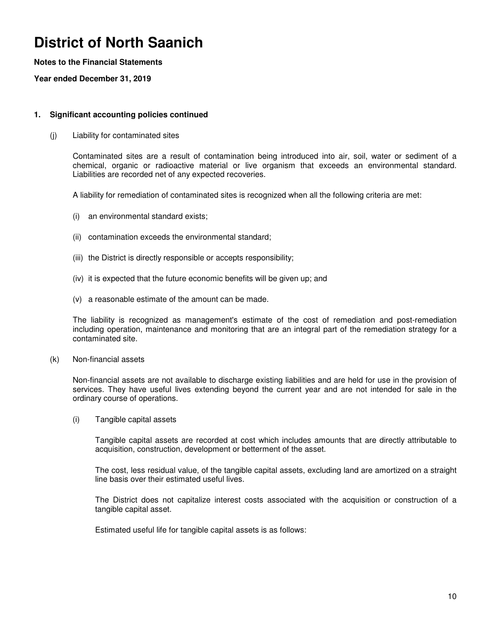### **Notes to the Financial Statements**

**Year ended December 31, 2019**

#### **1. Significant accounting policies continued**

(j) Liability for contaminated sites

Contaminated sites are a result of contamination being introduced into air, soil, water or sediment of a chemical, organic or radioactive material or live organism that exceeds an environmental standard. Liabilities are recorded net of any expected recoveries.

A liability for remediation of contaminated sites is recognized when all the following criteria are met:

- (i) an environmental standard exists;
- (ii) contamination exceeds the environmental standard;
- (iii) the District is directly responsible or accepts responsibility;
- (iv) it is expected that the future economic benefits will be given up; and
- (v) a reasonable estimate of the amount can be made.

The liability is recognized as management's estimate of the cost of remediation and post-remediation including operation, maintenance and monitoring that are an integral part of the remediation strategy for a contaminated site.

(k) Non-financial assets

Non-financial assets are not available to discharge existing liabilities and are held for use in the provision of services. They have useful lives extending beyond the current year and are not intended for sale in the ordinary course of operations.

(i) Tangible capital assets

Tangible capital assets are recorded at cost which includes amounts that are directly attributable to acquisition, construction, development or betterment of the asset.

The cost, less residual value, of the tangible capital assets, excluding land are amortized on a straight line basis over their estimated useful lives.

The District does not capitalize interest costs associated with the acquisition or construction of a tangible capital asset.

Estimated useful life for tangible capital assets is as follows: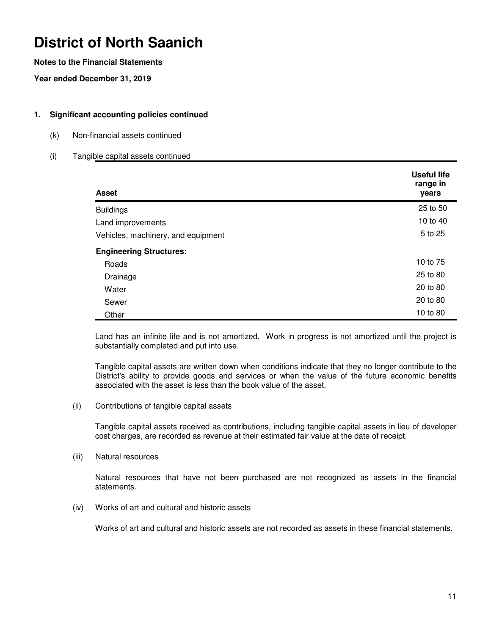### **Notes to the Financial Statements**

**Year ended December 31, 2019**

### **1. Significant accounting policies continued**

(k) Non-financial assets continued

### (i) Tangible capital assets continued

| <b>Asset</b>                       | <b>Useful life</b><br>range in<br>years |
|------------------------------------|-----------------------------------------|
| <b>Buildings</b>                   | 25 to 50                                |
| Land improvements                  | 10 to 40                                |
| Vehicles, machinery, and equipment | 5 to 25                                 |
| <b>Engineering Structures:</b>     |                                         |
| Roads                              | 10 to 75                                |
| Drainage                           | 25 to 80                                |
| Water                              | 20 to 80                                |
| Sewer                              | 20 to 80                                |
| Other                              | 10 to 80                                |

Land has an infinite life and is not amortized. Work in progress is not amortized until the project is substantially completed and put into use.

Tangible capital assets are written down when conditions indicate that they no longer contribute to the District's ability to provide goods and services or when the value of the future economic benefits associated with the asset is less than the book value of the asset.

(ii) Contributions of tangible capital assets

Tangible capital assets received as contributions, including tangible capital assets in lieu of developer cost charges, are recorded as revenue at their estimated fair value at the date of receipt.

(iii) Natural resources

Natural resources that have not been purchased are not recognized as assets in the financial statements.

(iv) Works of art and cultural and historic assets

Works of art and cultural and historic assets are not recorded as assets in these financial statements.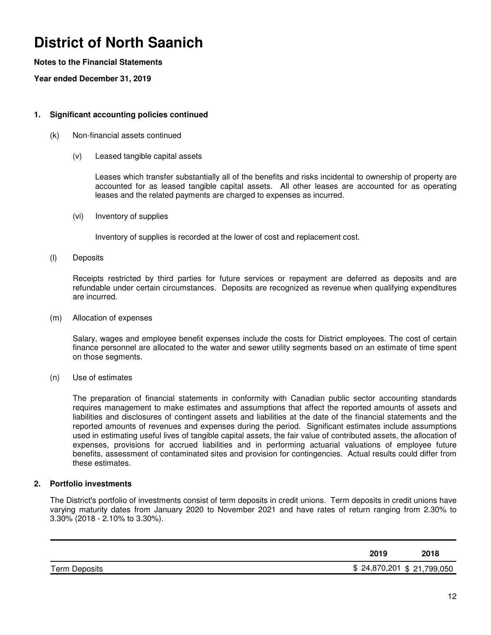### **Notes to the Financial Statements**

**Year ended December 31, 2019**

### **1. Significant accounting policies continued**

- (k) Non-financial assets continued
	- (v) Leased tangible capital assets

Leases which transfer substantially all of the benefits and risks incidental to ownership of property are accounted for as leased tangible capital assets. All other leases are accounted for as operating leases and the related payments are charged to expenses as incurred.

(vi) Inventory of supplies

Inventory of supplies is recorded at the lower of cost and replacement cost.

(l) Deposits

Receipts restricted by third parties for future services or repayment are deferred as deposits and are refundable under certain circumstances. Deposits are recognized as revenue when qualifying expenditures are incurred.

(m) Allocation of expenses

Salary, wages and employee benefit expenses include the costs for District employees. The cost of certain finance personnel are allocated to the water and sewer utility segments based on an estimate of time spent on those segments.

(n) Use of estimates

The preparation of financial statements in conformity with Canadian public sector accounting standards requires management to make estimates and assumptions that affect the reported amounts of assets and liabilities and disclosures of contingent assets and liabilities at the date of the financial statements and the reported amounts of revenues and expenses during the period. Significant estimates include assumptions used in estimating useful lives of tangible capital assets, the fair value of contributed assets, the allocation of expenses, provisions for accrued liabilities and in performing actuarial valuations of employee future benefits, assessment of contaminated sites and provision for contingencies. Actual results could differ from these estimates.

### **2. Portfolio investments**

The District's portfolio of investments consist of term deposits in credit unions. Term deposits in credit unions have varying maturity dates from January 2020 to November 2021 and have rates of return ranging from 2.30% to 3.30% (2018 - 2.10% to 3.30%).

|               | 2019                      | 2018 |
|---------------|---------------------------|------|
| Term Deposits | \$24,870,201 \$21,799,050 |      |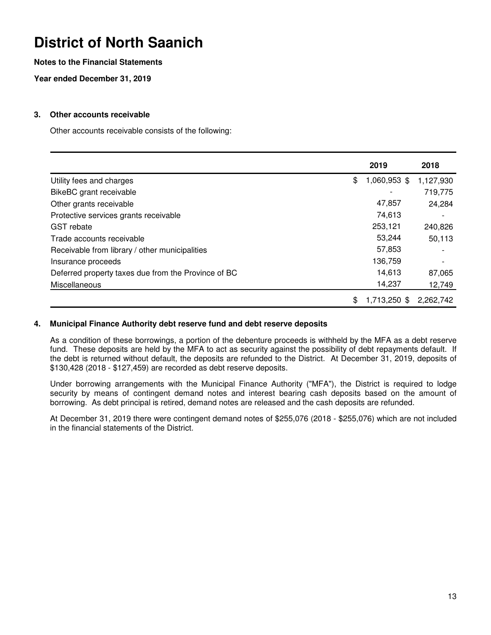### **Notes to the Financial Statements**

**Year ended December 31, 2019**

### **3. Other accounts receivable**

Other accounts receivable consists of the following:

|                                                     | 2019               | 2018      |
|-----------------------------------------------------|--------------------|-----------|
| Utility fees and charges                            | \$<br>1,060,953 \$ | 1,127,930 |
| BikeBC grant receivable                             |                    | 719,775   |
| Other grants receivable                             | 47,857             | 24,284    |
| Protective services grants receivable               | 74,613             |           |
| <b>GST</b> rebate                                   | 253,121            | 240,826   |
| Trade accounts receivable                           | 53,244             | 50,113    |
| Receivable from library / other municipalities      | 57,853             |           |
| Insurance proceeds                                  | 136,759            |           |
| Deferred property taxes due from the Province of BC | 14,613             | 87,065    |
| Miscellaneous                                       | 14,237             | 12,749    |
|                                                     | \$<br>1,713,250 \$ | 2,262,742 |

#### **4. Municipal Finance Authority debt reserve fund and debt reserve deposits**

As a condition of these borrowings, a portion of the debenture proceeds is withheld by the MFA as a debt reserve fund. These deposits are held by the MFA to act as security against the possibility of debt repayments default. If the debt is returned without default, the deposits are refunded to the District. At December 31, 2019, deposits of \$130,428 (2018 - \$127,459) are recorded as debt reserve deposits.

Under borrowing arrangements with the Municipal Finance Authority ("MFA"), the District is required to lodge security by means of contingent demand notes and interest bearing cash deposits based on the amount of borrowing. As debt principal is retired, demand notes are released and the cash deposits are refunded.

At December 31, 2019 there were contingent demand notes of \$255,076 (2018 - \$255,076) which are not included in the financial statements of the District.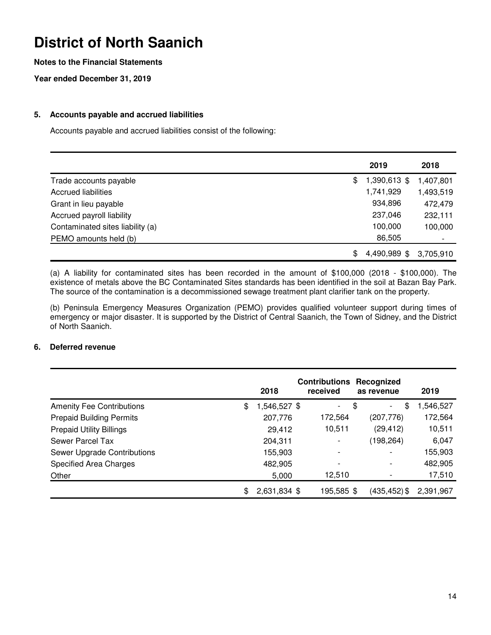### **Notes to the Financial Statements**

**Year ended December 31, 2019**

### **5. Accounts payable and accrued liabilities**

Accounts payable and accrued liabilities consist of the following:

|                                  | 2019               | 2018      |
|----------------------------------|--------------------|-----------|
| Trade accounts payable           | \$<br>1,390,613 \$ | 1,407,801 |
| <b>Accrued liabilities</b>       | 1,741,929          | 1,493,519 |
| Grant in lieu payable            | 934,896            | 472,479   |
| Accrued payroll liability        | 237,046            | 232,111   |
| Contaminated sites liability (a) | 100,000            | 100,000   |
| PEMO amounts held (b)            | 86,505             |           |
|                                  | \$<br>4,490,989 \$ | 3,705,910 |

(a) A liability for contaminated sites has been recorded in the amount of \$100,000 (2018 - \$100,000). The existence of metals above the BC Contaminated Sites standards has been identified in the soil at Bazan Bay Park. The source of the contamination is a decommissioned sewage treatment plant clarifier tank on the property.

(b) Peninsula Emergency Measures Organization (PEMO) provides qualified volunteer support during times of emergency or major disaster. It is supported by the District of Central Saanich, the Town of Sidney, and the District of North Saanich.

#### **6. Deferred revenue**

|                                  | 2018               | <b>Contributions</b><br>received | Recognized<br>as revenue             | 2019      |
|----------------------------------|--------------------|----------------------------------|--------------------------------------|-----------|
| <b>Amenity Fee Contributions</b> | \$<br>1,546,527 \$ | $\overline{\phantom{0}}$         | \$<br>\$<br>$\overline{\phantom{0}}$ | 1,546,527 |
| <b>Prepaid Building Permits</b>  | 207,776            | 172,564                          | (207, 776)                           | 172,564   |
| <b>Prepaid Utility Billings</b>  | 29,412             | 10,511                           | (29, 412)                            | 10,511    |
| Sewer Parcel Tax                 | 204,311            |                                  | (198, 264)                           | 6,047     |
| Sewer Upgrade Contributions      | 155,903            |                                  |                                      | 155,903   |
| <b>Specified Area Charges</b>    | 482,905            |                                  |                                      | 482,905   |
| Other                            | 5,000              | 12,510                           |                                      | 17,510    |
|                                  | \$<br>2,631,834 \$ | 195,585 \$                       | $(435, 452)$ \$                      | 2,391,967 |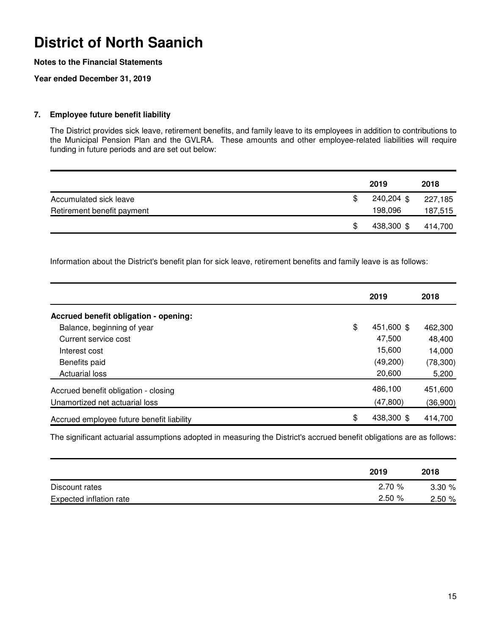### **Notes to the Financial Statements**

### **Year ended December 31, 2019**

### **7. Employee future benefit liability**

The District provides sick leave, retirement benefits, and family leave to its employees in addition to contributions to the Municipal Pension Plan and the GVLRA. These amounts and other employee-related liabilities will require funding in future periods and are set out below:

|                            | 2019       | 2018    |
|----------------------------|------------|---------|
| Accumulated sick leave     | 240,204 \$ | 227,185 |
| Retirement benefit payment | 198,096    | 187,515 |
|                            | 438,300 \$ | 414.700 |

Information about the District's benefit plan for sick leave, retirement benefits and family leave is as follows:

|                                           | 2019             | 2018      |
|-------------------------------------------|------------------|-----------|
| Accrued benefit obligation - opening:     |                  |           |
| Balance, beginning of year                | \$<br>451,600 \$ | 462,300   |
| Current service cost                      | 47,500           | 48,400    |
| Interest cost                             | 15,600           | 14,000    |
| Benefits paid                             | (49,200)         | (78, 300) |
| <b>Actuarial loss</b>                     | 20,600           | 5,200     |
| Accrued benefit obligation - closing      | 486,100          | 451,600   |
| Unamortized net actuarial loss            | (47, 800)        | (36,900)  |
| Accrued employee future benefit liability | \$<br>438,300 \$ | 414,700   |

The significant actuarial assumptions adopted in measuring the District's accrued benefit obligations are as follows:

|                         | 2019  | 2018  |
|-------------------------|-------|-------|
| Discount rates          | 2.70% | 3.30% |
| Expected inflation rate | 2.50% | 2.50% |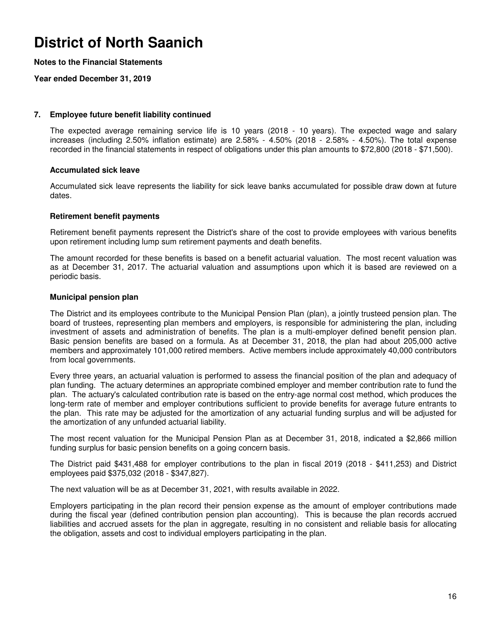### **Notes to the Financial Statements**

### **Year ended December 31, 2019**

#### **7. Employee future benefit liability continued**

The expected average remaining service life is 10 years (2018 - 10 years). The expected wage and salary increases (including 2.50% inflation estimate) are 2.58% - 4.50% (2018 - 2.58% - 4.50%). The total expense recorded in the financial statements in respect of obligations under this plan amounts to \$72,800 (2018 - \$71,500).

#### **Accumulated sick leave**

Accumulated sick leave represents the liability for sick leave banks accumulated for possible draw down at future dates.

### **Retirement benefit payments**

Retirement benefit payments represent the District's share of the cost to provide employees with various benefits upon retirement including lump sum retirement payments and death benefits.

The amount recorded for these benefits is based on a benefit actuarial valuation. The most recent valuation was as at December 31, 2017. The actuarial valuation and assumptions upon which it is based are reviewed on a periodic basis.

### **Municipal pension plan**

The District and its employees contribute to the Municipal Pension Plan (plan), a jointly trusteed pension plan. The board of trustees, representing plan members and employers, is responsible for administering the plan, including investment of assets and administration of benefits. The plan is a multi-employer defined benefit pension plan. Basic pension benefits are based on a formula. As at December 31, 2018, the plan had about 205,000 active members and approximately 101,000 retired members. Active members include approximately 40,000 contributors from local governments.

Every three years, an actuarial valuation is performed to assess the financial position of the plan and adequacy of plan funding. The actuary determines an appropriate combined employer and member contribution rate to fund the plan. The actuary's calculated contribution rate is based on the entry-age normal cost method, which produces the long-term rate of member and employer contributions sufficient to provide benefits for average future entrants to the plan. This rate may be adjusted for the amortization of any actuarial funding surplus and will be adjusted for the amortization of any unfunded actuarial liability.

The most recent valuation for the Municipal Pension Plan as at December 31, 2018, indicated a \$2,866 million funding surplus for basic pension benefits on a going concern basis.

The District paid \$431,488 for employer contributions to the plan in fiscal 2019 (2018 - \$411,253) and District employees paid \$375,032 (2018 - \$347,827).

The next valuation will be as at December 31, 2021, with results available in 2022.

Employers participating in the plan record their pension expense as the amount of employer contributions made during the fiscal year (defined contribution pension plan accounting). This is because the plan records accrued liabilities and accrued assets for the plan in aggregate, resulting in no consistent and reliable basis for allocating the obligation, assets and cost to individual employers participating in the plan.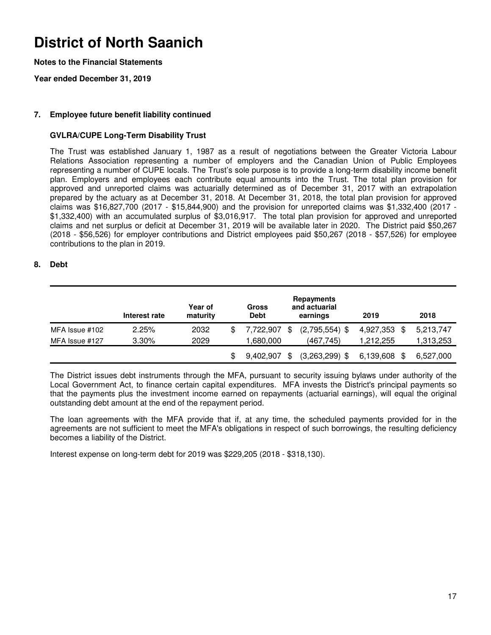### **Notes to the Financial Statements**

**Year ended December 31, 2019**

### **7. Employee future benefit liability continued**

### **GVLRA/CUPE Long-Term Disability Trust**

The Trust was established January 1, 1987 as a result of negotiations between the Greater Victoria Labour Relations Association representing a number of employers and the Canadian Union of Public Employees representing a number of CUPE locals. The Trust's sole purpose is to provide a long-term disability income benefit plan. Employers and employees each contribute equal amounts into the Trust. The total plan provision for approved and unreported claims was actuarially determined as of December 31, 2017 with an extrapolation prepared by the actuary as at December 31, 2018. At December 31, 2018, the total plan provision for approved claims was \$16,827,700 (2017 - \$15,844,900) and the provision for unreported claims was \$1,332,400 (2017 - \$1,332,400) with an accumulated surplus of \$3,016,917. The total plan provision for approved and unreported claims and net surplus or deficit at December 31, 2019 will be available later in 2020. The District paid \$50,267 (2018 - \$56,526) for employer contributions and District employees paid \$50,267 (2018 - \$57,526) for employee contributions to the plan in 2019.

#### **8. Debt**

|                | Interest rate | Year of<br>maturity | Gross<br><b>Debt</b> |    | Repayments<br>and actuarial<br>earnings | 2019              | 2018      |
|----------------|---------------|---------------------|----------------------|----|-----------------------------------------|-------------------|-----------|
| MFA Issue #102 | 2.25%         | 2032                | 7,722,907            | \$ | $(2,795,554)$ \$                        | 4,927,353<br>- \$ | 5,213,747 |
| MFA Issue #127 | $3.30\%$      | 2029                | 1,680,000            |    | (467.745)                               | 1.212.255         | 1,313,253 |
|                |               |                     | 9,402,907            | \$ | $(3,263,299)$ \$                        | 6,139,608<br>S    | 6,527,000 |

The District issues debt instruments through the MFA, pursuant to security issuing bylaws under authority of the Local Government Act, to finance certain capital expenditures. MFA invests the District's principal payments so that the payments plus the investment income earned on repayments (actuarial earnings), will equal the original outstanding debt amount at the end of the repayment period.

The loan agreements with the MFA provide that if, at any time, the scheduled payments provided for in the agreements are not sufficient to meet the MFA's obligations in respect of such borrowings, the resulting deficiency becomes a liability of the District.

Interest expense on long-term debt for 2019 was \$229,205 (2018 - \$318,130).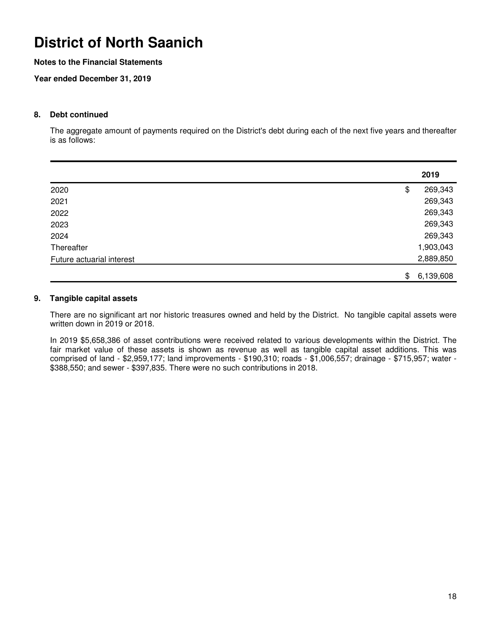### **Notes to the Financial Statements**

### **Year ended December 31, 2019**

#### **8. Debt continued**

The aggregate amount of payments required on the District's debt during each of the next five years and thereafter is as follows:

|                           | 2019            |
|---------------------------|-----------------|
| 2020                      | \$<br>269,343   |
| 2021                      | 269,343         |
| 2022                      | 269,343         |
| 2023                      | 269,343         |
| 2024                      | 269,343         |
| Thereafter                | 1,903,043       |
| Future actuarial interest | 2,889,850       |
|                           | \$<br>6,139,608 |

### **9. Tangible capital assets**

There are no significant art nor historic treasures owned and held by the District. No tangible capital assets were written down in 2019 or 2018.

In 2019 \$5,658,386 of asset contributions were received related to various developments within the District. The fair market value of these assets is shown as revenue as well as tangible capital asset additions. This was comprised of land - \$2,959,177; land improvements - \$190,310; roads - \$1,006,557; drainage - \$715,957; water - \$388,550; and sewer - \$397,835. There were no such contributions in 2018.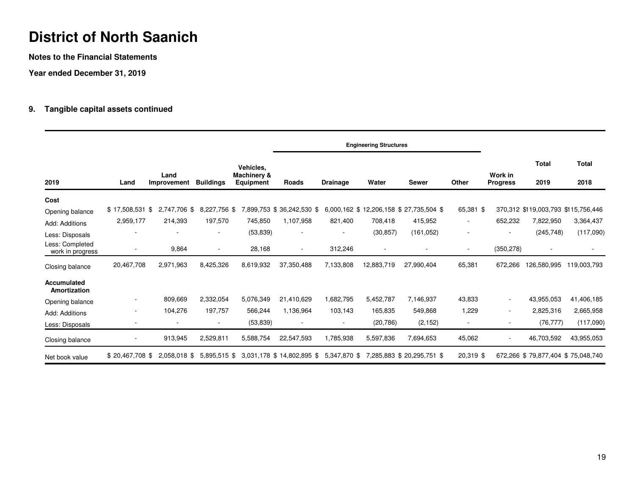**Notes to the Financial Statements**

**Year ended December 31, 2019**

### **9. Tangible capital assets continued**

|                                                                          |                               |                         |                               |                                       |                                                      |                          | <b>Engineering Structures</b> |                                                   |                                                      |                            |                                                  |                      |
|--------------------------------------------------------------------------|-------------------------------|-------------------------|-------------------------------|---------------------------------------|------------------------------------------------------|--------------------------|-------------------------------|---------------------------------------------------|------------------------------------------------------|----------------------------|--------------------------------------------------|----------------------|
| 2019                                                                     | Land                          | Land<br>Improvement     | <b>Buildings</b>              | Vehicles,<br>Machinery &<br>Equipment | Roads                                                | <b>Drainage</b>          | Water                         | <b>Sewer</b>                                      | <b>Other</b>                                         | Work in<br><b>Progress</b> | <b>Total</b><br>2019                             | <b>Total</b><br>2018 |
| Cost<br>Opening balance                                                  | $$17,508,531$ \$<br>2,959,177 | 2,747,706 \$<br>214,393 | 8,227,756 \$<br>197,570       | 745,850                               | 7,899,753 \$ 36,242,530 \$<br>1,107,958              | 821,400                  | 708,418                       | 6,000,162 \$12,206,158 \$27,735,504 \$<br>415,952 | 65,381 \$                                            | 652,232                    | 370,312 \$119,003,793 \$115,756,446<br>7,822,950 | 3,364,437            |
| Add: Additions<br>Less: Disposals<br>Less: Completed<br>work in progress | $\overline{\phantom{a}}$      | 9,864                   | ۰<br>$\overline{\phantom{a}}$ | (53, 839)<br>28,168                   | $\overline{\phantom{a}}$<br>$\overline{\phantom{a}}$ | 312,246                  | (30, 857)<br>٠                | (161, 052)                                        | $\overline{\phantom{a}}$<br>$\overline{\phantom{a}}$ | (350, 278)                 | (245, 748)<br>$\overline{\phantom{a}}$           | (117,090)            |
| Closing balance                                                          | 20,467,708                    | 2,971,963               | 8,425,326                     | 8,619,932                             | 37,350,488                                           | 7,133,808                | 12,883,719                    | 27,990,404                                        | 65,381                                               | 672,266                    | 126,580,995                                      | 119,003,793          |
| Accumulated<br>Amortization                                              |                               |                         |                               |                                       |                                                      |                          |                               |                                                   |                                                      |                            |                                                  |                      |
| Opening balance                                                          |                               | 809,669                 | 2,332,054                     | 5,076,349                             | 21,410,629                                           | 1,682,795                | 5,452,787                     | 7,146,937                                         | 43,833                                               | $\sim$                     | 43,955,053                                       | 41,406,185           |
| Add: Additions                                                           | $\overline{\phantom{a}}$      | 104,276                 | 197,757                       | 566,244                               | 1,136,964                                            | 103,143                  | 165,835                       | 549,868                                           | 1,229                                                | $\sim$                     | 2,825,316                                        | 2,665,958            |
| Less: Disposals                                                          |                               |                         | $\overline{\phantom{a}}$      | (53, 839)                             | $\overline{\phantom{a}}$                             | $\overline{\phantom{a}}$ | (20, 786)                     | (2, 152)                                          | $\overline{\phantom{a}}$                             |                            | (76, 777)                                        | (117,090)            |
| Closing balance                                                          |                               | 913,945                 | 2,529,811                     | 5,588,754                             | 22,547,593                                           | 1,785,938                | 5,597,836                     | 7,694,653                                         | 45,062                                               | $\overline{\phantom{a}}$   | 46,703,592                                       | 43,955,053           |
| Net book value                                                           | $$20,467,708$ \$              | 2,058,018 \$            | $5.895.515$ \$                |                                       | 3,031,178 \$ 14,802,895 \$                           | 5,347,870 \$             |                               | 7,285,883 \$ 20,295,751 \$                        | 20,319 \$                                            |                            | 672,266 \$79,877,404 \$75,048,740                |                      |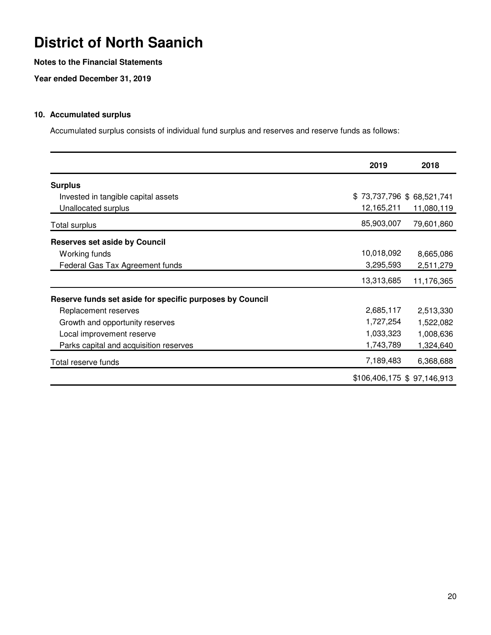### **Notes to the Financial Statements**

**Year ended December 31, 2019**

### **10. Accumulated surplus**

Accumulated surplus consists of individual fund surplus and reserves and reserve funds as follows:

|                                                          | 2019                      | 2018                        |
|----------------------------------------------------------|---------------------------|-----------------------------|
| <b>Surplus</b>                                           |                           |                             |
| Invested in tangible capital assets                      | \$73,737,796 \$68,521,741 |                             |
| Unallocated surplus                                      | 12,165,211                | 11,080,119                  |
| <b>Total surplus</b>                                     | 85,903,007                | 79,601,860                  |
| <b>Reserves set aside by Council</b>                     |                           |                             |
| Working funds                                            | 10,018,092                | 8,665,086                   |
| Federal Gas Tax Agreement funds                          | 3,295,593                 | 2,511,279                   |
|                                                          | 13,313,685                | 11,176,365                  |
| Reserve funds set aside for specific purposes by Council |                           |                             |
| Replacement reserves                                     | 2,685,117                 | 2,513,330                   |
| Growth and opportunity reserves                          | 1,727,254                 | 1,522,082                   |
| Local improvement reserve                                | 1,033,323                 | 1,008,636                   |
| Parks capital and acquisition reserves                   | 1,743,789                 | 1,324,640                   |
| Total reserve funds                                      | 7,189,483                 | 6,368,688                   |
|                                                          |                           | \$106,406,175 \$ 97,146,913 |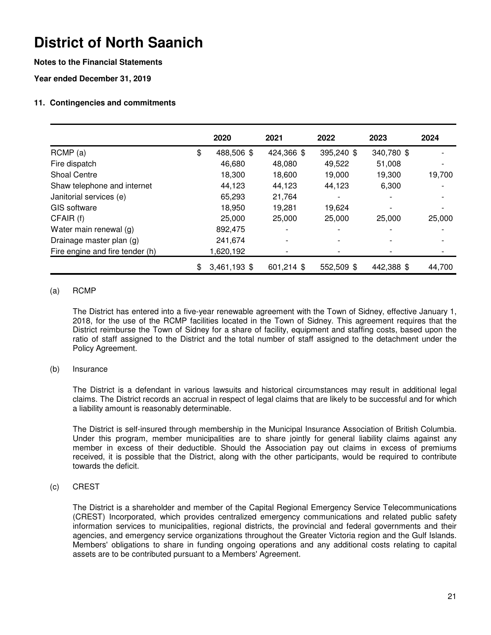### **Notes to the Financial Statements**

**Year ended December 31, 2019**

### **11. Contingencies and commitments**

|                                 | 2020               | 2021                     | 2022       | 2023       | 2024   |
|---------------------------------|--------------------|--------------------------|------------|------------|--------|
| RCMP(a)                         | \$<br>488,506 \$   | 424,366 \$               | 395,240 \$ | 340,780 \$ |        |
| Fire dispatch                   | 46,680             | 48,080                   | 49,522     | 51,008     |        |
| <b>Shoal Centre</b>             | 18,300             | 18,600                   | 19,000     | 19,300     | 19,700 |
| Shaw telephone and internet     | 44,123             | 44,123                   | 44,123     | 6,300      |        |
| Janitorial services (e)         | 65,293             | 21,764                   |            |            |        |
| GIS software                    | 18,950             | 19,281                   | 19,624     |            |        |
| CFAIR (f)                       | 25,000             | 25,000                   | 25,000     | 25,000     | 25,000 |
| Water main renewal (g)          | 892,475            | $\overline{\phantom{a}}$ |            |            |        |
| Drainage master plan (g)        | 241,674            |                          |            |            |        |
| Fire engine and fire tender (h) | 1,620,192          |                          |            |            |        |
|                                 | \$<br>3,461,193 \$ | 601,214 \$               | 552,509 \$ | 442,388 \$ | 44,700 |

### (a) RCMP

The District has entered into a five-year renewable agreement with the Town of Sidney, effective January 1, 2018, for the use of the RCMP facilities located in the Town of Sidney. This agreement requires that the District reimburse the Town of Sidney for a share of facility, equipment and staffing costs, based upon the ratio of staff assigned to the District and the total number of staff assigned to the detachment under the Policy Agreement.

#### (b) Insurance

The District is a defendant in various lawsuits and historical circumstances may result in additional legal claims. The District records an accrual in respect of legal claims that are likely to be successful and for which a liability amount is reasonably determinable.

The District is self-insured through membership in the Municipal Insurance Association of British Columbia. Under this program, member municipalities are to share jointly for general liability claims against any member in excess of their deductible. Should the Association pay out claims in excess of premiums received, it is possible that the District, along with the other participants, would be required to contribute towards the deficit.

(c) CREST

The District is a shareholder and member of the Capital Regional Emergency Service Telecommunications (CREST) Incorporated, which provides centralized emergency communications and related public safety information services to municipalities, regional districts, the provincial and federal governments and their agencies, and emergency service organizations throughout the Greater Victoria region and the Gulf Islands. Members' obligations to share in funding ongoing operations and any additional costs relating to capital assets are to be contributed pursuant to a Members' Agreement.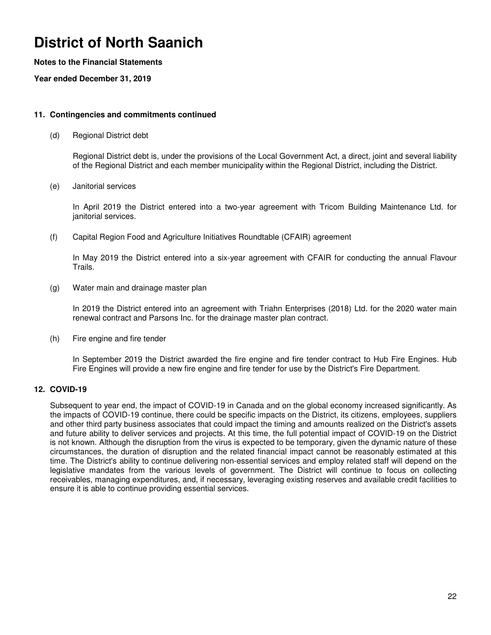### **Notes to the Financial Statements**

**Year ended December 31, 2019**

#### **11. Contingencies and commitments continued**

(d) Regional District debt

Regional District debt is, under the provisions of the Local Government Act, a direct, joint and several liability of the Regional District and each member municipality within the Regional District, including the District.

(e) Janitorial services

In April 2019 the District entered into a two-year agreement with Tricom Building Maintenance Ltd. for janitorial services.

(f) Capital Region Food and Agriculture Initiatives Roundtable (CFAIR) agreement

In May 2019 the District entered into a six-year agreement with CFAIR for conducting the annual Flavour Trails.

(g) Water main and drainage master plan

In 2019 the District entered into an agreement with Triahn Enterprises (2018) Ltd. for the 2020 water main renewal contract and Parsons Inc. for the drainage master plan contract.

(h) Fire engine and fire tender

In September 2019 the District awarded the fire engine and fire tender contract to Hub Fire Engines. Hub Fire Engines will provide a new fire engine and fire tender for use by the District's Fire Department.

### **12. COVID-19**

Subsequent to year end, the impact of COVID-19 in Canada and on the global economy increased significantly. As the impacts of COVID-19 continue, there could be specific impacts on the District, its citizens, employees, suppliers and other third party business associates that could impact the timing and amounts realized on the District's assets and future ability to deliver services and projects. At this time, the full potential impact of COVID-19 on the District is not known. Although the disruption from the virus is expected to be temporary, given the dynamic nature of these circumstances, the duration of disruption and the related financial impact cannot be reasonably estimated at this time. The District's ability to continue delivering non-essential services and employ related staff will depend on the legislative mandates from the various levels of government. The District will continue to focus on collecting receivables, managing expenditures, and, if necessary, leveraging existing reserves and available credit facilities to ensure it is able to continue providing essential services.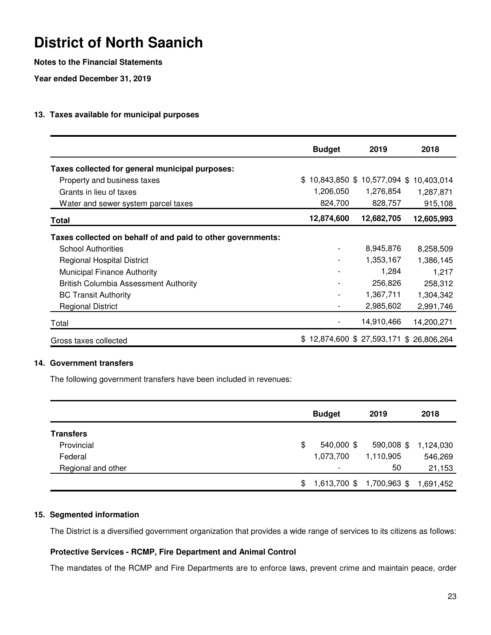### **Notes to the Financial Statements**

**Year ended December 31, 2019**

### **13. Taxes available for municipal purposes**

|                                                             | <b>Budget</b>                          | 2019                        | 2018       |
|-------------------------------------------------------------|----------------------------------------|-----------------------------|------------|
| Taxes collected for general municipal purposes:             |                                        |                             |            |
| Property and business taxes                                 | \$.                                    | 10,843,850 \$ 10,577,094 \$ | 10,403,014 |
| Grants in lieu of taxes                                     | 1,206,050                              | 1,276,854                   | 1,287,871  |
| Water and sewer system parcel taxes                         | 824,700                                | 828,757                     | 915,108    |
| <b>Total</b>                                                | 12,874,600                             | 12,682,705                  | 12,605,993 |
| Taxes collected on behalf of and paid to other governments: |                                        |                             |            |
| <b>School Authorities</b>                                   | $\overline{\phantom{0}}$               | 8,945,876                   | 8,258,509  |
| <b>Regional Hospital District</b>                           |                                        | 1,353,167                   | 1,386,145  |
| <b>Municipal Finance Authority</b>                          |                                        | 1,284                       | 1,217      |
| <b>British Columbia Assessment Authority</b>                |                                        | 256,826                     | 258,312    |
| <b>BC Transit Authority</b>                                 |                                        | 1,367,711                   | 1,304,342  |
| <b>Regional District</b>                                    |                                        | 2,985,602                   | 2,991,746  |
| Total                                                       |                                        | 14,910,466                  | 14,200,271 |
| Gross taxes collected                                       | \$12,874,600 \$27,593,171 \$26,806,264 |                             |            |

### **14. Government transfers**

The following government transfers have been included in revenues:

|                    | <b>Budget</b>            | 2019                      | 2018      |
|--------------------|--------------------------|---------------------------|-----------|
| <b>Transfers</b>   |                          |                           |           |
| Provincial         | \$<br>540,000 \$         | 590,008 \$                | 1,124,030 |
| Federal            | 1,073,700                | 1,110,905                 | 546,269   |
| Regional and other | $\overline{\phantom{a}}$ | 50                        | 21,153    |
|                    | \$                       | 1,613,700 \$ 1,700,963 \$ | 1,691,452 |

### **15. Segmented information**

The District is a diversified government organization that provides a wide range of services to its citizens as follows:

### **Protective Services - RCMP, Fire Department and Animal Control**

The mandates of the RCMP and Fire Departments are to enforce laws, prevent crime and maintain peace, order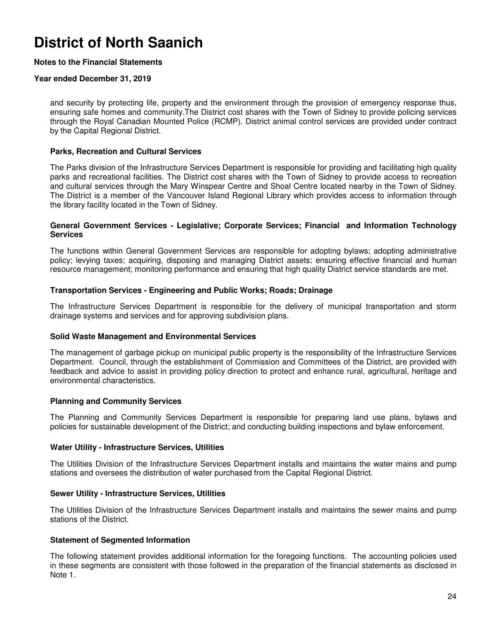### **Notes to the Financial Statements**

### **Year ended December 31, 2019**

and security by protecting life, property and the environment through the provision of emergency response thus, ensuring safe homes and community.The District cost shares with the Town of Sidney to provide policing services through the Royal Canadian Mounted Police (RCMP). District animal control services are provided under contract by the Capital Regional District.

### **Parks, Recreation and Cultural Services**

The Parks division of the Infrastructure Services Department is responsible for providing and facilitating high quality parks and recreational facilities. The District cost shares with the Town of Sidney to provide access to recreation and cultural services through the Mary Winspear Centre and Shoal Centre located nearby in the Town of Sidney. The District is a member of the Vancouver Island Regional Library which provides access to information through the library facility located in the Town of Sidney.

#### **General Government Services - Legislative; Corporate Services; Financial and Information Technology Services**

The functions within General Government Services are responsible for adopting bylaws; adopting administrative policy; levying taxes; acquiring, disposing and managing District assets; ensuring effective financial and human resource management; monitoring performance and ensuring that high quality District service standards are met.

#### **Transportation Services - Engineering and Public Works; Roads; Drainage**

The Infrastructure Services Department is responsible for the delivery of municipal transportation and storm drainage systems and services and for approving subdivision plans.

#### **Solid Waste Management and Environmental Services**

The management of garbage pickup on municipal public property is the responsibility of the Infrastructure Services Department. Council, through the establishment of Commission and Committees of the District, are provided with feedback and advice to assist in providing policy direction to protect and enhance rural, agricultural, heritage and environmental characteristics.

### **Planning and Community Services**

The Planning and Community Services Department is responsible for preparing land use plans, bylaws and policies for sustainable development of the District; and conducting building inspections and bylaw enforcement.

#### **Water Utility - Infrastructure Services, Utilities**

The Utilities Division of the Infrastructure Services Department installs and maintains the water mains and pump stations and oversees the distribution of water purchased from the Capital Regional District.

#### **Sewer Utility - Infrastructure Services, Utilities**

The Utilities Division of the Infrastructure Services Department installs and maintains the sewer mains and pump stations of the District.

### **Statement of Segmented Information**

The following statement provides additional information for the foregoing functions. The accounting policies used in these segments are consistent with those followed in the preparation of the financial statements as disclosed in Note 1.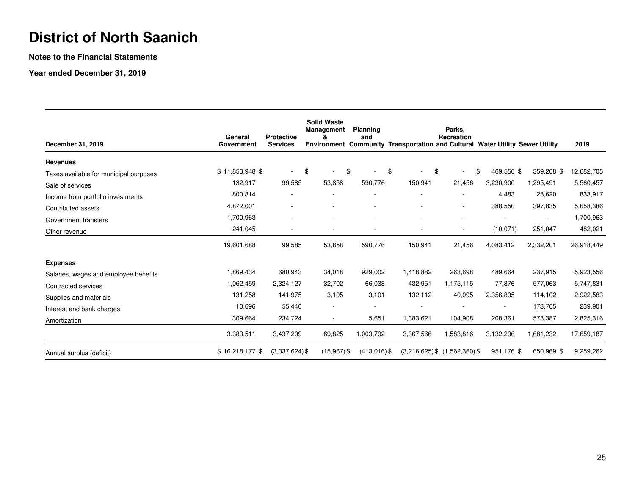**Notes to the Financial Statements**

**Year ended December 31, 2019**

| December 31, 2019                      | General<br>Government | <b>Protective</b><br><b>Services</b> | <b>Solid Waste</b><br><b>Management</b><br>ጼ | <b>Planning</b><br>and | Environment Community Transportation and Cultural Water Utility Sewer Utility | Parks.<br>Recreation              |                  |                          | 2019       |
|----------------------------------------|-----------------------|--------------------------------------|----------------------------------------------|------------------------|-------------------------------------------------------------------------------|-----------------------------------|------------------|--------------------------|------------|
| <b>Revenues</b>                        |                       |                                      |                                              |                        |                                                                               |                                   |                  |                          |            |
| Taxes available for municipal purposes | $$11,853,948$ \$      | $\blacksquare$                       | \$                                           | \$                     | \$<br>\$                                                                      | $\sim$                            | \$<br>469,550 \$ | 359,208 \$               | 12,682,705 |
| Sale of services                       | 132,917               | 99,585                               | 53,858                                       | 590,776                | 150,941                                                                       | 21,456                            | 3,230,900        | 1,295,491                | 5,560,457  |
| Income from portfolio investments      | 800,814               |                                      |                                              |                        |                                                                               |                                   | 4,483            | 28,620                   | 833,917    |
| Contributed assets                     | 4,872,001             | ٠                                    | $\overline{\phantom{0}}$                     |                        |                                                                               | $\sim$                            | 388,550          | 397,835                  | 5,658,386  |
| Government transfers                   | 1,700,963             | ۰                                    | $\overline{\phantom{a}}$                     | ۰                      | ۰                                                                             |                                   |                  | $\overline{\phantom{a}}$ | 1,700,963  |
| Other revenue                          | 241,045               | ٠                                    | ÷,                                           | $\overline{a}$         | $\blacksquare$                                                                | $\overline{\phantom{a}}$          | (10,071)         | 251,047                  | 482,021    |
|                                        | 19,601,688            | 99,585                               | 53,858                                       | 590,776                | 150,941                                                                       | 21,456                            | 4,083,412        | 2,332,201                | 26,918,449 |
| <b>Expenses</b>                        |                       |                                      |                                              |                        |                                                                               |                                   |                  |                          |            |
| Salaries, wages and employee benefits  | 1,869,434             | 680,943                              | 34,018                                       | 929,002                | 1,418,882                                                                     | 263,698                           | 489,664          | 237,915                  | 5,923,556  |
| Contracted services                    | 1,062,459             | 2,324,127                            | 32,702                                       | 66,038                 | 432,951                                                                       | 1,175,115                         | 77,376           | 577,063                  | 5,747,831  |
| Supplies and materials                 | 131,258               | 141,975                              | 3,105                                        | 3,101                  | 132,112                                                                       | 40,095                            | 2,356,835        | 114,102                  | 2,922,583  |
| Interest and bank charges              | 10,696                | 55,440                               | $\overline{\phantom{a}}$                     |                        |                                                                               |                                   |                  | 173,765                  | 239,901    |
| Amortization                           | 309,664               | 234,724                              | $\overline{\phantom{a}}$                     | 5,651                  | 1,383,621                                                                     | 104,908                           | 208,361          | 578,387                  | 2,825,316  |
|                                        | 3,383,511             | 3,437,209                            | 69,825                                       | 1,003,792              | 3,367,566                                                                     | 1,583,816                         | 3,132,236        | 1,681,232                | 17,659,187 |
| Annual surplus (deficit)               | $$16,218,177$ \$      | $(3,337,624)$ \$                     | $(15,967)$ \$                                | $(413,016)$ \$         |                                                                               | $(3,216,625)$ \$ $(1,562,360)$ \$ | 951,176 \$       | 650,969 \$               | 9,259,262  |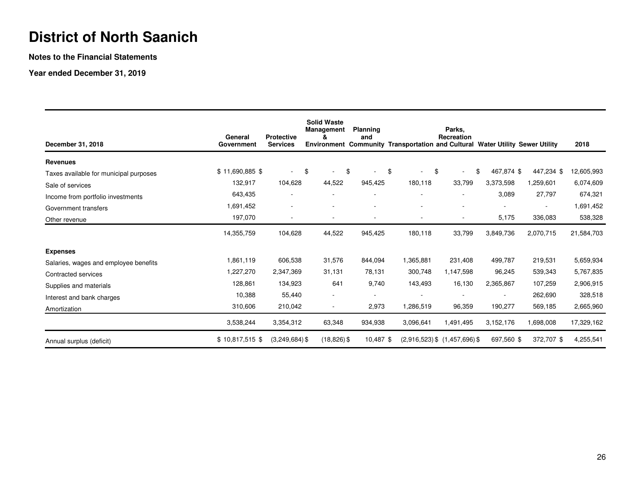**Notes to the Financial Statements**

**Year ended December 31, 2019**

| December 31, 2018                      | General<br>Government | <b>Protective</b><br><b>Services</b> | <b>Solid Waste</b><br><b>Management</b> | <b>Planning</b><br>and   | Environment Community Transportation and Cultural Water Utility Sewer Utility | Parks,<br>Recreation              |                  |                          | 2018       |
|----------------------------------------|-----------------------|--------------------------------------|-----------------------------------------|--------------------------|-------------------------------------------------------------------------------|-----------------------------------|------------------|--------------------------|------------|
| <b>Revenues</b>                        |                       |                                      |                                         |                          |                                                                               |                                   |                  |                          |            |
| Taxes available for municipal purposes | \$11,690,885 \$       | ۰                                    | \$                                      | \$                       | \$                                                                            | \$<br>$\sim$                      | \$<br>467,874 \$ | 447,234 \$               | 12,605,993 |
| Sale of services                       | 132,917               | 104,628                              | 44,522                                  | 945,425                  | 180,118                                                                       | 33,799                            | 3,373,598        | 1,259,601                | 6,074,609  |
| Income from portfolio investments      | 643,435               |                                      |                                         |                          |                                                                               |                                   | 3,089            | 27,797                   | 674,321    |
| Government transfers                   | 1,691,452             | ٠                                    | $\overline{\phantom{a}}$                | ۰                        | ٠                                                                             |                                   | $\sim$           | $\overline{\phantom{a}}$ | 1,691,452  |
| Other revenue                          | 197,070               | $\overline{\phantom{a}}$             | $\overline{\phantom{a}}$                | $\overline{\phantom{a}}$ | $\overline{\phantom{a}}$                                                      | $\overline{\phantom{a}}$          | 5,175            | 336,083                  | 538,328    |
|                                        | 14,355,759            | 104,628                              | 44,522                                  | 945,425                  | 180,118                                                                       | 33,799                            | 3,849,736        | 2,070,715                | 21,584,703 |
| <b>Expenses</b>                        |                       |                                      |                                         |                          |                                                                               |                                   |                  |                          |            |
| Salaries, wages and employee benefits  | 1,861,119             | 606,538                              | 31,576                                  | 844,094                  | 1,365,881                                                                     | 231,408                           | 499,787          | 219,531                  | 5,659,934  |
| Contracted services                    | 1,227,270             | 2,347,369                            | 31,131                                  | 78,131                   | 300,748                                                                       | 1,147,598                         | 96,245           | 539,343                  | 5,767,835  |
| Supplies and materials                 | 128,861               | 134,923                              | 641                                     | 9.740                    | 143,493                                                                       | 16,130                            | 2,365,867        | 107,259                  | 2,906,915  |
| Interest and bank charges              | 10,388                | 55,440                               | $\overline{\phantom{a}}$                | $\overline{\phantom{a}}$ |                                                                               |                                   |                  | 262,690                  | 328,518    |
| Amortization                           | 310,606               | 210,042                              | $\overline{\phantom{a}}$                | 2,973                    | 1,286,519                                                                     | 96,359                            | 190,277          | 569,185                  | 2,665,960  |
|                                        | 3,538,244             | 3,354,312                            | 63,348                                  | 934,938                  | 3,096,641                                                                     | 1,491,495                         | 3,152,176        | 1,698,008                | 17,329,162 |
| Annual surplus (deficit)               | $$10,817,515$ \$      | $(3,249,684)$ \$                     | $(18, 826)$ \$                          | 10,487 \$                |                                                                               | $(2,916,523)$ \$ $(1,457,696)$ \$ | 697,560 \$       | 372,707 \$               | 4,255,541  |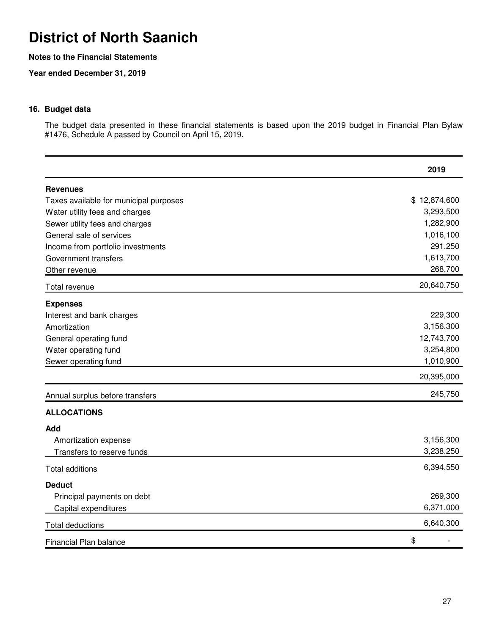### **Notes to the Financial Statements**

**Year ended December 31, 2019**

### **16. Budget data**

The budget data presented in these financial statements is based upon the 2019 budget in Financial Plan Bylaw #1476, Schedule A passed by Council on April 15, 2019.

|                                        | 2019         |
|----------------------------------------|--------------|
| <b>Revenues</b>                        |              |
| Taxes available for municipal purposes | \$12,874,600 |
| Water utility fees and charges         | 3,293,500    |
| Sewer utility fees and charges         | 1,282,900    |
| General sale of services               | 1,016,100    |
| Income from portfolio investments      | 291,250      |
| Government transfers                   | 1,613,700    |
| Other revenue                          | 268,700      |
| Total revenue                          | 20,640,750   |
| <b>Expenses</b>                        |              |
| Interest and bank charges              | 229,300      |
| Amortization                           | 3,156,300    |
| General operating fund                 | 12,743,700   |
| Water operating fund                   | 3,254,800    |
| Sewer operating fund                   | 1,010,900    |
|                                        | 20,395,000   |
| Annual surplus before transfers        | 245,750      |
| <b>ALLOCATIONS</b>                     |              |
| Add                                    |              |
| Amortization expense                   | 3,156,300    |
| Transfers to reserve funds             | 3,238,250    |
| <b>Total additions</b>                 | 6,394,550    |
| <b>Deduct</b>                          |              |
| Principal payments on debt             | 269,300      |
| Capital expenditures                   | 6,371,000    |
| <b>Total deductions</b>                | 6,640,300    |
| Financial Plan balance                 | \$           |